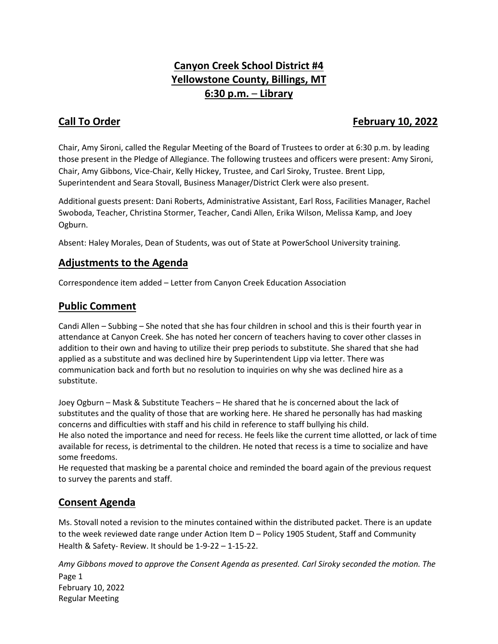# **Canyon Creek School District #4 Yellowstone County, Billings, MT 6:30 p.m.** – **Library**

## **Call To Order February 10, 2022**

Chair, Amy Sironi, called the Regular Meeting of the Board of Trustees to order at 6:30 p.m. by leading those present in the Pledge of Allegiance. The following trustees and officers were present: Amy Sironi, Chair, Amy Gibbons, Vice-Chair, Kelly Hickey, Trustee, and Carl Siroky, Trustee. Brent Lipp, Superintendent and Seara Stovall, Business Manager/District Clerk were also present.

Additional guests present: Dani Roberts, Administrative Assistant, Earl Ross, Facilities Manager, Rachel Swoboda, Teacher, Christina Stormer, Teacher, Candi Allen, Erika Wilson, Melissa Kamp, and Joey Ogburn.

Absent: Haley Morales, Dean of Students, was out of State at PowerSchool University training.

## **Adjustments to the Agenda**

Correspondence item added – Letter from Canyon Creek Education Association

## **Public Comment**

Candi Allen – Subbing – She noted that she has four children in school and this is their fourth year in attendance at Canyon Creek. She has noted her concern of teachers having to cover other classes in addition to their own and having to utilize their prep periods to substitute. She shared that she had applied as a substitute and was declined hire by Superintendent Lipp via letter. There was communication back and forth but no resolution to inquiries on why she was declined hire as a substitute.

Joey Ogburn – Mask & Substitute Teachers – He shared that he is concerned about the lack of substitutes and the quality of those that are working here. He shared he personally has had masking concerns and difficulties with staff and his child in reference to staff bullying his child. He also noted the importance and need for recess. He feels like the current time allotted, or lack of time available for recess, is detrimental to the children. He noted that recess is a time to socialize and have some freedoms.

He requested that masking be a parental choice and reminded the board again of the previous request to survey the parents and staff.

## **Consent Agenda**

Ms. Stovall noted a revision to the minutes contained within the distributed packet. There is an update to the week reviewed date range under Action Item D – Policy 1905 Student, Staff and Community Health & Safety- Review. It should be 1-9-22 – 1-15-22.

Page 1 February 10, 2022 Regular Meeting *Amy Gibbons moved to approve the Consent Agenda as presented. Carl Siroky seconded the motion. The*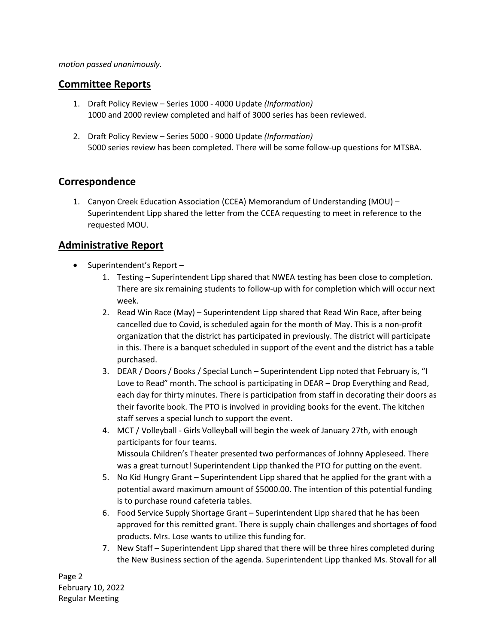#### *motion passed unanimously.*

#### **Committee Reports**

- 1. Draft Policy Review Series 1000 4000 Update *(Information)* 1000 and 2000 review completed and half of 3000 series has been reviewed.
- 2. Draft Policy Review Series 5000 9000 Update *(Information)* 5000 series review has been completed. There will be some follow-up questions for MTSBA.

### **Correspondence**

1. Canyon Creek Education Association (CCEA) Memorandum of Understanding (MOU) – Superintendent Lipp shared the letter from the CCEA requesting to meet in reference to the requested MOU.

### **Administrative Report**

- Superintendent's Report
	- 1. Testing Superintendent Lipp shared that NWEA testing has been close to completion. There are six remaining students to follow-up with for completion which will occur next week.
	- 2. Read Win Race (May) Superintendent Lipp shared that Read Win Race, after being cancelled due to Covid, is scheduled again for the month of May. This is a non-profit organization that the district has participated in previously. The district will participate in this. There is a banquet scheduled in support of the event and the district has a table purchased.
	- 3. DEAR / Doors / Books / Special Lunch Superintendent Lipp noted that February is, "I Love to Read" month. The school is participating in DEAR – Drop Everything and Read, each day for thirty minutes. There is participation from staff in decorating their doors as their favorite book. The PTO is involved in providing books for the event. The kitchen staff serves a special lunch to support the event.
	- 4. MCT / Volleyball Girls Volleyball will begin the week of January 27th, with enough participants for four teams. Missoula Children's Theater presented two performances of Johnny Appleseed. There was a great turnout! Superintendent Lipp thanked the PTO for putting on the event.
	- 5. No Kid Hungry Grant Superintendent Lipp shared that he applied for the grant with a potential award maximum amount of \$5000.00. The intention of this potential funding is to purchase round cafeteria tables.
	- 6. Food Service Supply Shortage Grant Superintendent Lipp shared that he has been approved for this remitted grant. There is supply chain challenges and shortages of food products. Mrs. Lose wants to utilize this funding for.
	- 7. New Staff Superintendent Lipp shared that there will be three hires completed during the New Business section of the agenda. Superintendent Lipp thanked Ms. Stovall for all

Page 2 February 10, 2022 Regular Meeting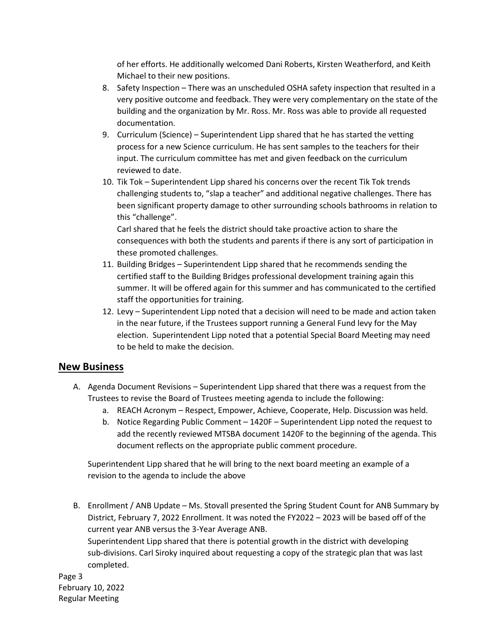of her efforts. He additionally welcomed Dani Roberts, Kirsten Weatherford, and Keith Michael to their new positions.

- 8. Safety Inspection There was an unscheduled OSHA safety inspection that resulted in a very positive outcome and feedback. They were very complementary on the state of the building and the organization by Mr. Ross. Mr. Ross was able to provide all requested documentation.
- 9. Curriculum (Science) Superintendent Lipp shared that he has started the vetting process for a new Science curriculum. He has sent samples to the teachers for their input. The curriculum committee has met and given feedback on the curriculum reviewed to date.
- 10. Tik Tok Superintendent Lipp shared his concerns over the recent Tik Tok trends challenging students to, "slap a teacher" and additional negative challenges. There has been significant property damage to other surrounding schools bathrooms in relation to this "challenge".

Carl shared that he feels the district should take proactive action to share the consequences with both the students and parents if there is any sort of participation in these promoted challenges.

- 11. Building Bridges Superintendent Lipp shared that he recommends sending the certified staff to the Building Bridges professional development training again this summer. It will be offered again for this summer and has communicated to the certified staff the opportunities for training.
- 12. Levy Superintendent Lipp noted that a decision will need to be made and action taken in the near future, if the Trustees support running a General Fund levy for the May election. Superintendent Lipp noted that a potential Special Board Meeting may need to be held to make the decision.

### **New Business**

- A. Agenda Document Revisions Superintendent Lipp shared that there was a request from the Trustees to revise the Board of Trustees meeting agenda to include the following:
	- a. REACH Acronym Respect, Empower, Achieve, Cooperate, Help. Discussion was held.
	- b. Notice Regarding Public Comment 1420F Superintendent Lipp noted the request to add the recently reviewed MTSBA document 1420F to the beginning of the agenda. This document reflects on the appropriate public comment procedure.

Superintendent Lipp shared that he will bring to the next board meeting an example of a revision to the agenda to include the above

B. Enrollment / ANB Update – Ms. Stovall presented the Spring Student Count for ANB Summary by District, February 7, 2022 Enrollment. It was noted the FY2022 – 2023 will be based off of the current year ANB versus the 3-Year Average ANB. Superintendent Lipp shared that there is potential growth in the district with developing sub-divisions. Carl Siroky inquired about requesting a copy of the strategic plan that was last completed.

Page 3 February 10, 2022 Regular Meeting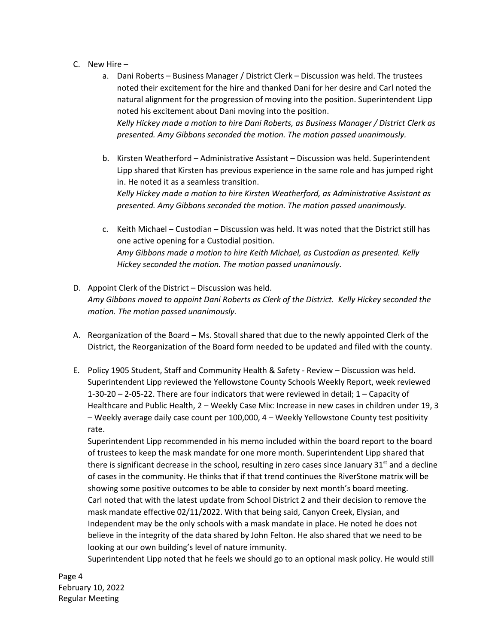- C. New Hire
	- a. Dani Roberts Business Manager / District Clerk Discussion was held. The trustees noted their excitement for the hire and thanked Dani for her desire and Carl noted the natural alignment for the progression of moving into the position. Superintendent Lipp noted his excitement about Dani moving into the position. *Kelly Hickey made a motion to hire Dani Roberts, as Business Manager / District Clerk as presented. Amy Gibbons seconded the motion. The motion passed unanimously.*
	- b. Kirsten Weatherford Administrative Assistant Discussion was held. Superintendent Lipp shared that Kirsten has previous experience in the same role and has jumped right in. He noted it as a seamless transition. *Kelly Hickey made a motion to hire Kirsten Weatherford, as Administrative Assistant as presented. Amy Gibbons seconded the motion. The motion passed unanimously.*
	- c. Keith Michael Custodian Discussion was held. It was noted that the District still has one active opening for a Custodial position. *Amy Gibbons made a motion to hire Keith Michael, as Custodian as presented. Kelly Hickey seconded the motion. The motion passed unanimously.*
- D. Appoint Clerk of the District Discussion was held. *Amy Gibbons moved to appoint Dani Roberts as Clerk of the District. Kelly Hickey seconded the motion. The motion passed unanimously.*
- A. Reorganization of the Board Ms. Stovall shared that due to the newly appointed Clerk of the District, the Reorganization of the Board form needed to be updated and filed with the county.
- E. Policy 1905 Student, Staff and Community Health & Safety Review Discussion was held. Superintendent Lipp reviewed the Yellowstone County Schools Weekly Report, week reviewed 1-30-20 – 2-05-22. There are four indicators that were reviewed in detail; 1 – Capacity of Healthcare and Public Health, 2 – Weekly Case Mix: Increase in new cases in children under 19, 3 – Weekly average daily case count per 100,000, 4 – Weekly Yellowstone County test positivity rate.

Superintendent Lipp recommended in his memo included within the board report to the board of trustees to keep the mask mandate for one more month. Superintendent Lipp shared that there is significant decrease in the school, resulting in zero cases since January  $31<sup>st</sup>$  and a decline of cases in the community. He thinks that if that trend continues the RiverStone matrix will be showing some positive outcomes to be able to consider by next month's board meeting. Carl noted that with the latest update from School District 2 and their decision to remove the mask mandate effective 02/11/2022. With that being said, Canyon Creek, Elysian, and Independent may be the only schools with a mask mandate in place. He noted he does not believe in the integrity of the data shared by John Felton. He also shared that we need to be looking at our own building's level of nature immunity.

Superintendent Lipp noted that he feels we should go to an optional mask policy. He would still

Page 4 February 10, 2022 Regular Meeting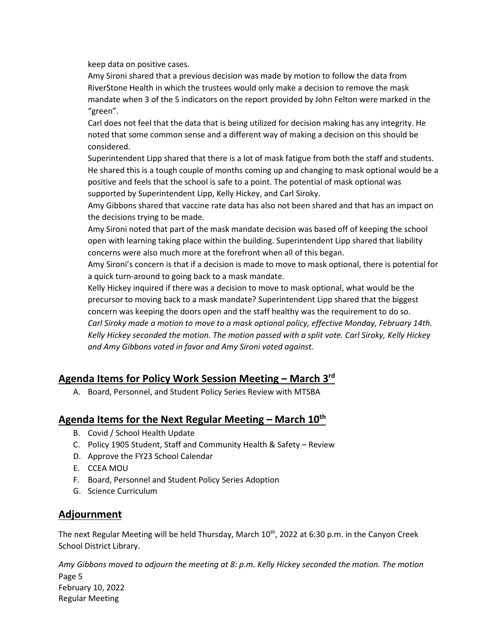keep data on positive cases.

Amy Sironi shared that a previous decision was made by motion to follow the data from RiverStone Health in which the trustees would only make a decision to remove the mask mandate when 3 of the 5 indicators on the report provided by John Felton were marked in the "green".

Carl does not feel that the data that is being utilized for decision making has any integrity. He noted that some common sense and a different way of making a decision on this should be considered.

Superintendent Lipp shared that there is a lot of mask fatigue from both the staff and students. He shared this is a tough couple of months coming up and changing to mask optional would be a positive and feels that the school is safe to a point. The potential of mask optional was supported by Superintendent Lipp, Kelly Hickey, and Carl Siroky.

Amy Gibbons shared that vaccine rate data has also not been shared and that has an impact on the decisions trying to be made.

Amy Sironi noted that part of the mask mandate decision was based off of keeping the school open with learning taking place within the building. Superintendent Lipp shared that liability concerns were also much more at the forefront when all of this began.

Amy Sironi's concern is that if a decision is made to move to mask optional, there is potential for a quick turn-around to going back to a mask mandate.

Kelly Hickey inquired if there was a decision to move to mask optional, what would be the precursor to moving back to a mask mandate? Superintendent Lipp shared that the biggest concern was keeping the doors open and the staff healthy was the requirement to do so. *Carl Siroky made a motion to move to a mask optional policy, effective Monday, February 14th. Kelly Hickey seconded the motion. The motion passed with a split vote. Carl Siroky, Kelly Hickey and Amy Gibbons voted in favor and Amy Sironi voted against.*

## **Agenda Items for Policy Work Session Meeting – March 3rd**

A. Board, Personnel, and Student Policy Series Review with MTSBA

## **Agenda Items for the Next Regular Meeting – March 10th**

- B. Covid / School Health Update
- C. Policy 1905 Student, Staff and Community Health & Safety Review
- D. Approve the FY23 School Calendar
- E. CCEA MOU
- F. Board, Personnel and Student Policy Series Adoption
- G. Science Curriculum

## **Adjournment**

The next Regular Meeting will be held Thursday, March  $10^{th}$ , 2022 at 6:30 p.m. in the Canyon Creek School District Library.

Page 5 February 10, 2022 Regular Meeting *Amy Gibbons moved to adjourn the meeting at 8: p.m. Kelly Hickey seconded the motion. The motion*